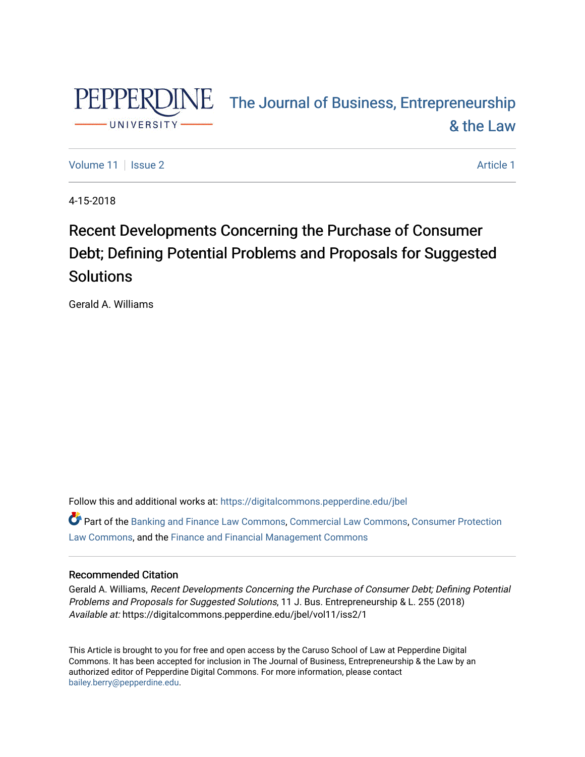

# PEPPERDINE The Journal of Business, Entrepreneurship [& the Law](https://digitalcommons.pepperdine.edu/jbel)

[Volume 11](https://digitalcommons.pepperdine.edu/jbel/vol11) | [Issue 2](https://digitalcommons.pepperdine.edu/jbel/vol11/iss2) Article 1

4-15-2018

## Recent Developments Concerning the Purchase of Consumer Debt; Defining Potential Problems and Proposals for Suggested Solutions

Gerald A. Williams

Follow this and additional works at: [https://digitalcommons.pepperdine.edu/jbel](https://digitalcommons.pepperdine.edu/jbel?utm_source=digitalcommons.pepperdine.edu%2Fjbel%2Fvol11%2Fiss2%2F1&utm_medium=PDF&utm_campaign=PDFCoverPages) 

Part of the [Banking and Finance Law Commons,](http://network.bepress.com/hgg/discipline/833?utm_source=digitalcommons.pepperdine.edu%2Fjbel%2Fvol11%2Fiss2%2F1&utm_medium=PDF&utm_campaign=PDFCoverPages) [Commercial Law Commons,](http://network.bepress.com/hgg/discipline/586?utm_source=digitalcommons.pepperdine.edu%2Fjbel%2Fvol11%2Fiss2%2F1&utm_medium=PDF&utm_campaign=PDFCoverPages) [Consumer Protection](http://network.bepress.com/hgg/discipline/838?utm_source=digitalcommons.pepperdine.edu%2Fjbel%2Fvol11%2Fiss2%2F1&utm_medium=PDF&utm_campaign=PDFCoverPages) [Law Commons,](http://network.bepress.com/hgg/discipline/838?utm_source=digitalcommons.pepperdine.edu%2Fjbel%2Fvol11%2Fiss2%2F1&utm_medium=PDF&utm_campaign=PDFCoverPages) and the [Finance and Financial Management Commons](http://network.bepress.com/hgg/discipline/631?utm_source=digitalcommons.pepperdine.edu%2Fjbel%2Fvol11%2Fiss2%2F1&utm_medium=PDF&utm_campaign=PDFCoverPages)

### Recommended Citation

Gerald A. Williams, Recent Developments Concerning the Purchase of Consumer Debt; Defining Potential Problems and Proposals for Suggested Solutions, 11 J. Bus. Entrepreneurship & L. 255 (2018) Available at: https://digitalcommons.pepperdine.edu/jbel/vol11/iss2/1

This Article is brought to you for free and open access by the Caruso School of Law at Pepperdine Digital Commons. It has been accepted for inclusion in The Journal of Business, Entrepreneurship & the Law by an authorized editor of Pepperdine Digital Commons. For more information, please contact [bailey.berry@pepperdine.edu](mailto:bailey.berry@pepperdine.edu).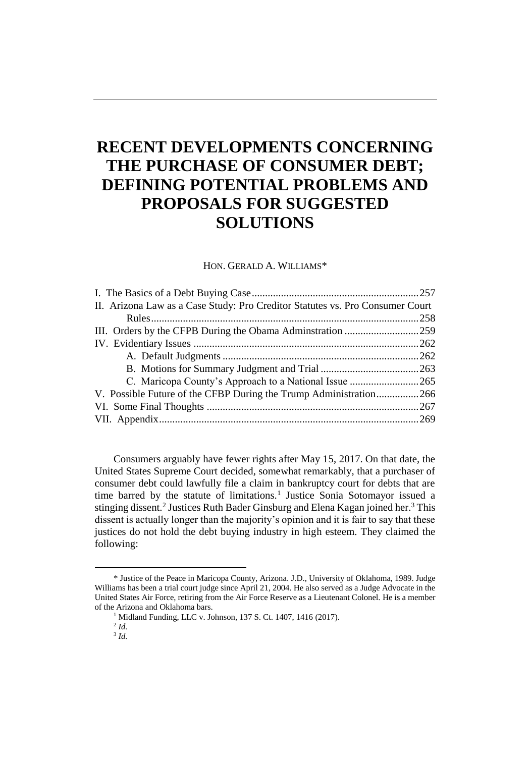### **RECENT DEVELOPMENTS CONCERNING THE PURCHASE OF CONSUMER DEBT; DEFINING POTENTIAL PROBLEMS AND PROPOSALS FOR SUGGESTED SOLUTIONS**

HON. GERALD A. WILLIAMS\*

| II. Arizona Law as a Case Study: Pro Creditor Statutes vs. Pro Consumer Court |  |
|-------------------------------------------------------------------------------|--|
|                                                                               |  |
|                                                                               |  |
|                                                                               |  |
|                                                                               |  |
|                                                                               |  |
|                                                                               |  |
| V. Possible Future of the CFBP During the Trump Administration266             |  |
|                                                                               |  |
|                                                                               |  |

Consumers arguably have fewer rights after May 15, 2017. On that date, the United States Supreme Court decided, somewhat remarkably, that a purchaser of consumer debt could lawfully file a claim in bankruptcy court for debts that are time barred by the statute of limitations.<sup>1</sup> Justice Sonia Sotomayor issued a stinging dissent.<sup>2</sup> Justices Ruth Bader Ginsburg and Elena Kagan joined her.<sup>3</sup> This dissent is actually longer than the majority's opinion and it is fair to say that these justices do not hold the debt buying industry in high esteem. They claimed the following:

l

<sup>\*</sup> Justice of the Peace in Maricopa County, Arizona. J.D., University of Oklahoma, 1989. Judge Williams has been a trial court judge since April 21, 2004. He also served as a Judge Advocate in the United States Air Force, retiring from the Air Force Reserve as a Lieutenant Colonel. He is a member of the Arizona and Oklahoma bars.

<sup>&</sup>lt;sup>1</sup> Midland Funding, LLC v. Johnson, 137 S. Ct. 1407, 1416 (2017).

<sup>2</sup> *Id.*

<sup>3</sup> *Id.*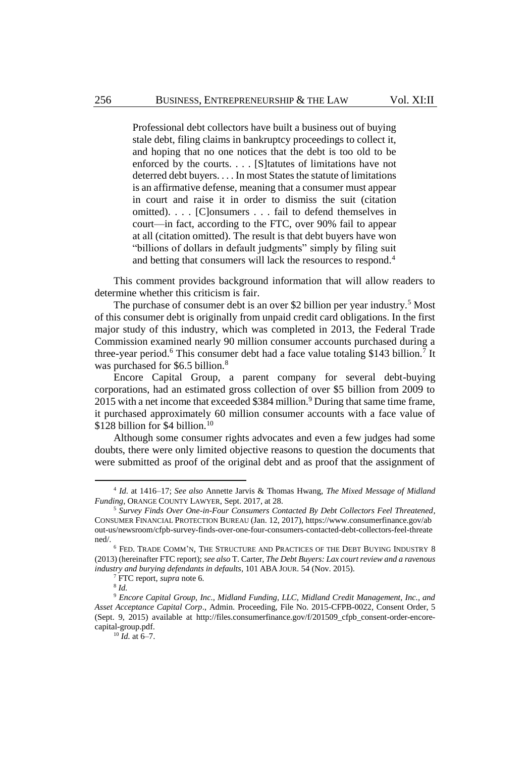Professional debt collectors have built a business out of buying stale debt, filing claims in bankruptcy proceedings to collect it, and hoping that no one notices that the debt is too old to be enforced by the courts. . . . [S]tatutes of limitations have not deterred debt buyers. . . . In most States the statute of limitations is an affirmative defense, meaning that a consumer must appear in court and raise it in order to dismiss the suit (citation omitted). . . . [C]onsumers . . . fail to defend themselves in court—in fact, according to the FTC, over 90% fail to appear at all (citation omitted). The result is that debt buyers have won "billions of dollars in default judgments" simply by filing suit and betting that consumers will lack the resources to respond.<sup>4</sup>

This comment provides background information that will allow readers to determine whether this criticism is fair.

The purchase of consumer debt is an over \$2 billion per year industry.<sup>5</sup> Most of this consumer debt is originally from unpaid credit card obligations. In the first major study of this industry, which was completed in 2013, the Federal Trade Commission examined nearly 90 million consumer accounts purchased during a three-year period.<sup>6</sup> This consumer debt had a face value totaling \$143 billion.<sup>7</sup> It was purchased for \$6.5 billion.<sup>8</sup>

<span id="page-2-1"></span><span id="page-2-0"></span>Encore Capital Group, a parent company for several debt-buying corporations, had an estimated gross collection of over \$5 billion from 2009 to 2015 with a net income that exceeded \$384 million.<sup>9</sup> During that same time frame, it purchased approximately 60 million consumer accounts with a face value of \$128 billion for \$4 billion.<sup>10</sup>

Although some consumer rights advocates and even a few judges had some doubts, there were only limited objective reasons to question the documents that were submitted as proof of the original debt and as proof that the assignment of

<sup>4</sup> *Id*. at 1416–17; *See also* Annette Jarvis & Thomas Hwang, *The Mixed Message of Midland Funding*, ORANGE COUNTY LAWYER, Sept. 2017, at 28.

<sup>5</sup> *Survey Finds Over One-in-Four Consumers Contacted By Debt Collectors Feel Threatened*, CONSUMER FINANCIAL PROTECTION BUREAU (Jan. 12, 2017), https://www.consumerfinance.gov/ab out-us/newsroom/cfpb-survey-finds-over-one-four-consumers-contacted-debt-collectors-feel-threate ned/.

 $^6$  FED. TRADE COMM'N, THE STRUCTURE AND PRACTICES OF THE DEBT BUYING INDUSTRY  $\,8\,$ (2013) (hereinafter FTC report); *see also* T. Carter, *The Debt Buyers: Lax court review and a ravenous industry and burying defendants in defaults*, 101 ABA JOUR. 54 (Nov. 2015).

<sup>7</sup> FTC report, *supra* not[e 6](#page-2-0)*.*

<sup>8</sup> *Id.*

<sup>9</sup> *Encore Capital Group, Inc., Midland Funding, LLC, Midland Credit Management, Inc., and Asset Acceptance Capital Corp*., Admin. Proceeding, File No. 2015-CFPB-0022, Consent Order, 5 (Sept. 9, 2015) available at http://files.consumerfinance.gov/f/201509\_cfpb\_consent-order-encorecapital-group.pdf.

 $^{10}$  *Id.* at 6–7.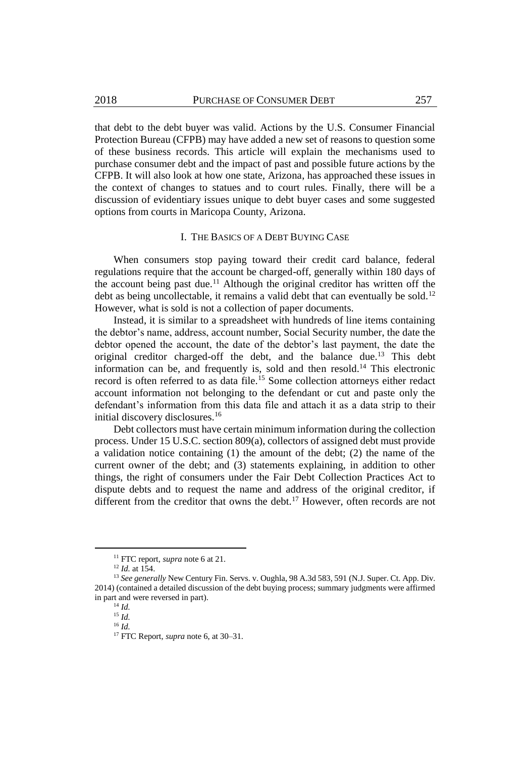that debt to the debt buyer was valid. Actions by the U.S. Consumer Financial Protection Bureau (CFPB) may have added a new set of reasons to question some of these business records. This article will explain the mechanisms used to purchase consumer debt and the impact of past and possible future actions by the CFPB. It will also look at how one state, Arizona, has approached these issues in the context of changes to statues and to court rules. Finally, there will be a discussion of evidentiary issues unique to debt buyer cases and some suggested options from courts in Maricopa County, Arizona.

#### I. THE BASICS OF A DEBT BUYING CASE

When consumers stop paying toward their credit card balance, federal regulations require that the account be charged-off, generally within 180 days of the account being past due.<sup>11</sup> Although the original creditor has written off the debt as being uncollectable, it remains a valid debt that can eventually be sold.<sup>12</sup> However, what is sold is not a collection of paper documents.

Instead, it is similar to a spreadsheet with hundreds of line items containing the debtor's name, address, account number, Social Security number, the date the debtor opened the account, the date of the debtor's last payment, the date the original creditor charged-off the debt, and the balance due.<sup>13</sup> This debt information can be, and frequently is, sold and then resold.<sup>14</sup> This electronic record is often referred to as data file.<sup>15</sup> Some collection attorneys either redact account information not belonging to the defendant or cut and paste only the defendant's information from this data file and attach it as a data strip to their initial discovery disclosures.<sup>16</sup>

Debt collectors must have certain minimum information during the collection process. Under 15 U.S.C. section 809(a), collectors of assigned debt must provide a validation notice containing (1) the amount of the debt; (2) the name of the current owner of the debt; and (3) statements explaining, in addition to other things, the right of consumers under the Fair Debt Collection Practices Act to dispute debts and to request the name and address of the original creditor, if different from the creditor that owns the debt.<sup>17</sup> However, often records are not

 $\overline{a}$ 

<sup>11</sup> FTC report, *supra* not[e 6](#page-2-0) at 21.

<sup>12</sup> *Id.* at 154.

<sup>&</sup>lt;sup>13</sup> See generally New Century Fin. Servs. v. Oughla, 98 A.3d 583, 591 (N.J. Super. Ct. App. Div. 2014) (contained a detailed discussion of the debt buying process; summary judgments were affirmed in part and were reversed in part).

<sup>14</sup> *Id.*

<sup>15</sup> *Id.* <sup>16</sup> *Id.*

<sup>17</sup> FTC Report, *supra* not[e 6,](#page-2-0) at 30–31.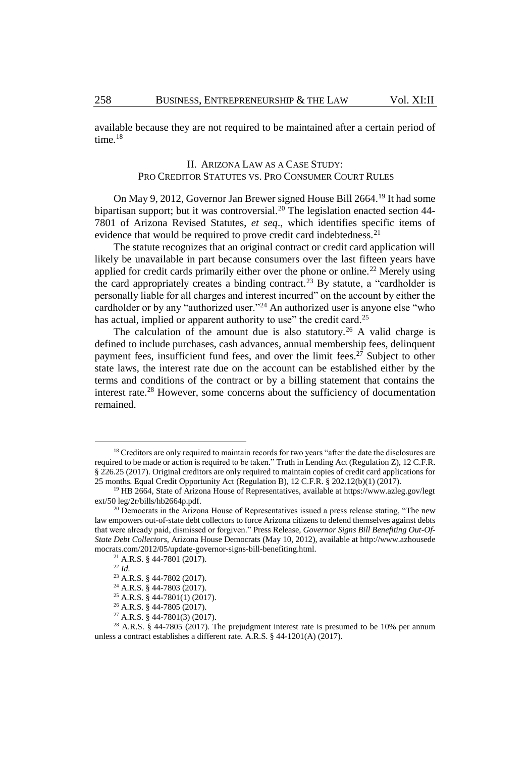available because they are not required to be maintained after a certain period of time.<sup>18</sup>

#### II. ARIZONA LAW AS A CASE STUDY: PRO CREDITOR STATUTES VS. PRO CONSUMER COURT RULES

On May 9, 2012, Governor Jan Brewer signed House Bill 2664.<sup>19</sup> It had some bipartisan support; but it was controversial.<sup>20</sup> The legislation enacted section 44-7801 of Arizona Revised Statutes, *et seq*., which identifies specific items of evidence that would be required to prove credit card indebtedness.<sup>21</sup>

The statute recognizes that an original contract or credit card application will likely be unavailable in part because consumers over the last fifteen years have applied for credit cards primarily either over the phone or online.<sup>22</sup> Merely using the card appropriately creates a binding contract.<sup>23</sup> By statute, a "cardholder is personally liable for all charges and interest incurred" on the account by either the cardholder or by any "authorized user."<sup>24</sup> An authorized user is anyone else "who has actual, implied or apparent authority to use" the credit card.<sup>25</sup>

The calculation of the amount due is also statutory.<sup>26</sup> A valid charge is defined to include purchases, cash advances, annual membership fees, delinquent payment fees, insufficient fund fees, and over the limit fees.<sup>27</sup> Subject to other state laws, the interest rate due on the account can be established either by the terms and conditions of the contract or by a billing statement that contains the interest rate.<sup>28</sup> However, some concerns about the sufficiency of documentation remained.

l

<sup>&</sup>lt;sup>18</sup> Creditors are only required to maintain records for two years "after the date the disclosures are required to be made or action is required to be taken." Truth in Lending Act (Regulation Z), 12 C.F.R. § 226.25 (2017). Original creditors are only required to maintain copies of credit card applications for 25 months. Equal Credit Opportunity Act (Regulation B), 12 C.F.R. § 202.12(b)(1) (2017).

<sup>&</sup>lt;sup>19</sup> HB 2664, State of Arizona House of Representatives, available at https://www.azleg.gov/legt ext/50 leg/2r/bills/hb2664p.pdf.

 $20$  Democrats in the Arizona House of Representatives issued a press release stating, "The new law empowers out-of-state debt collectors to force Arizona citizens to defend themselves against debts that were already paid, dismissed or forgiven." Press Release, *Governor Signs Bill Benefiting Out-Of-State Debt Collectors,* Arizona House Democrats (May 10, 2012), available at http://www.azhousede mocrats.com/2012/05/update-governor-signs-bill-benefiting.html.

<sup>21</sup> A.R.S. § 44-7801 (2017).

<sup>22</sup> *Id.*

<sup>23</sup> A.R.S. § 44-7802 (2017).

<sup>24</sup> A.R.S. § 44-7803 (2017).

<sup>25</sup> A.R.S. § 44-7801(1) (2017).

<sup>26</sup> A.R.S. § 44-7805 (2017).

<sup>27</sup> A.R.S. § 44-7801(3) (2017).

<sup>&</sup>lt;sup>28</sup> A.R.S. § 44-7805 (2017). The prejudgment interest rate is presumed to be 10% per annum unless a contract establishes a different rate. A.R.S. § 44-1201(A) (2017).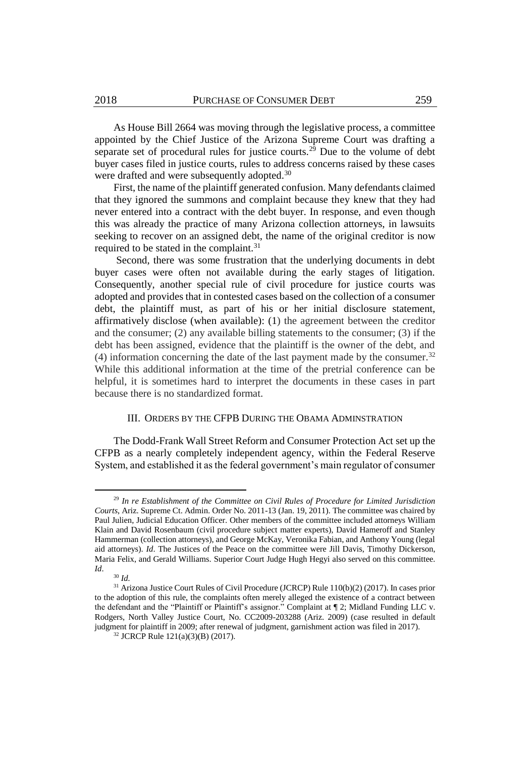As House Bill 2664 was moving through the legislative process, a committee appointed by the Chief Justice of the Arizona Supreme Court was drafting a separate set of procedural rules for justice courts.<sup>29</sup> Due to the volume of debt buyer cases filed in justice courts, rules to address concerns raised by these cases were drafted and were subsequently adopted.<sup>30</sup>

First, the name of the plaintiff generated confusion. Many defendants claimed that they ignored the summons and complaint because they knew that they had never entered into a contract with the debt buyer. In response, and even though this was already the practice of many Arizona collection attorneys, in lawsuits seeking to recover on an assigned debt, the name of the original creditor is now required to be stated in the complaint.<sup>31</sup>

Second, there was some frustration that the underlying documents in debt buyer cases were often not available during the early stages of litigation. Consequently, another special rule of civil procedure for justice courts was adopted and provides that in contested cases based on the collection of a consumer debt, the plaintiff must, as part of his or her initial disclosure statement, affirmatively disclose (when available): (1) the agreement between the creditor and the consumer; (2) any available billing statements to the consumer; (3) if the debt has been assigned, evidence that the plaintiff is the owner of the debt, and (4) information concerning the date of the last payment made by the consumer.<sup>32</sup> While this additional information at the time of the pretrial conference can be helpful, it is sometimes hard to interpret the documents in these cases in part because there is no standardized format.

#### III. ORDERS BY THE CFPB DURING THE OBAMA ADMINSTRATION

The Dodd-Frank Wall Street Reform and Consumer Protection Act set up the CFPB as a nearly completely independent agency, within the Federal Reserve System, and established it as the federal government's main regulator of consumer

<sup>29</sup> *In re Establishment of the Committee on Civil Rules of Procedure for Limited Jurisdiction Courts*, Ariz. Supreme Ct. Admin. Order No. 2011-13 (Jan. 19, 2011). The committee was chaired by Paul Julien, Judicial Education Officer. Other members of the committee included attorneys William Klain and David Rosenbaum (civil procedure subject matter experts), David Hameroff and Stanley Hammerman (collection attorneys), and George McKay, Veronika Fabian, and Anthony Young (legal aid attorneys). *Id*. The Justices of the Peace on the committee were Jill Davis, Timothy Dickerson, Maria Felix, and Gerald Williams. Superior Court Judge Hugh Hegyi also served on this committee. *Id*.

<sup>30</sup> *Id.*

<sup>&</sup>lt;sup>31</sup> Arizona Justice Court Rules of Civil Procedure (JCRCP) Rule 110(b)(2) (2017). In cases prior to the adoption of this rule, the complaints often merely alleged the existence of a contract between the defendant and the "Plaintiff or Plaintiff's assignor." Complaint at ¶ 2; Midland Funding LLC v. Rodgers, North Valley Justice Court, No. CC2009-203288 (Ariz. 2009) (case resulted in default judgment for plaintiff in 2009; after renewal of judgment, garnishment action was filed in 2017).

<sup>32</sup> JCRCP Rule 121(a)(3)(B) (2017).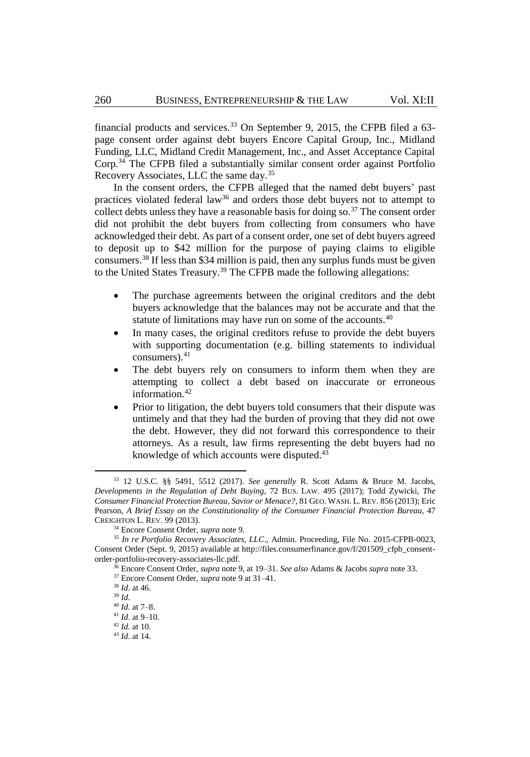<span id="page-6-0"></span>financial products and services.<sup>33</sup> On September 9, 2015, the CFPB filed a  $63$ page consent order against debt buyers Encore Capital Group, Inc., Midland Funding, LLC, Midland Credit Management, Inc., and Asset Acceptance Capital Corp.<sup>34</sup> The CFPB filed a substantially similar consent order against Portfolio Recovery Associates, LLC the same day.<sup>35</sup>

In the consent orders, the CFPB alleged that the named debt buyers' past practices violated federal law<sup>36</sup> and orders those debt buyers not to attempt to collect debts unless they have a reasonable basis for doing so.<sup>37</sup> The consent order did not prohibit the debt buyers from collecting from consumers who have acknowledged their debt. As part of a consent order, one set of debt buyers agreed to deposit up to \$42 million for the purpose of paying claims to eligible consumers.<sup>38</sup> If less than \$34 million is paid, then any surplus funds must be given to the United States Treasury.<sup>39</sup> The CFPB made the following allegations:

- The purchase agreements between the original creditors and the debt buyers acknowledge that the balances may not be accurate and that the statute of limitations may have run on some of the accounts.<sup>40</sup>
- In many cases, the original creditors refuse to provide the debt buyers with supporting documentation (e.g. billing statements to individual consumers). $41$
- The debt buyers rely on consumers to inform them when they are attempting to collect a debt based on inaccurate or erroneous information.<sup>42</sup>
- Prior to litigation, the debt buyers told consumers that their dispute was untimely and that they had the burden of proving that they did not owe the debt. However, they did not forward this correspondence to their attorneys. As a result, law firms representing the debt buyers had no knowledge of which accounts were disputed.<sup>43</sup>

<sup>33</sup> 12 U.S.C. §§ 5491, 5512 (2017). *See generally* R. Scott Adams & Bruce M. Jacobs, *Developments in the Regulation of Debt Buying*, 72 BUS. LAW. 495 (2017); Todd Zywicki, *The Consumer Financial Protection Bureau, Savior or Menace?*, 81 GEO. WASH. L. REV. 856 (2013); Eric Pearson, *A Brief Essay on the Constitutionality of the Consumer Financial Protection Bureau*, 47 CREIGHTON L. REV. 99 (2013).

<sup>34</sup> Encore Consent Order, *supra* not[e 9.](#page-2-1) 

<sup>35</sup> *In re Portfolio Recovery Associates, LLC*., Admin. Proceeding, File No. 2015-CFPB-0023, Consent Order (Sept. 9, 2015) available at http://files.consumerfinance.gov/f/201509\_cfpb\_consentorder-portfolio-recovery-associates-llc.pdf.

<sup>36</sup> Encore Consent Order, *supra* not[e 9,](#page-2-1) at 19–31. *See also* Adams & Jacobs *supra* not[e 33.](#page-6-0)

<sup>37</sup> Encore Consent Order, *supra* not[e 9](#page-2-1) at 31–41.

<sup>38</sup> *Id*. at 46.

<sup>39</sup> *Id.*

<sup>40</sup> *Id.* at 7–8.

<sup>41</sup> *Id*. at 9–10.

<sup>42</sup> *Id*. at 10.

<sup>43</sup> *Id*. at 14.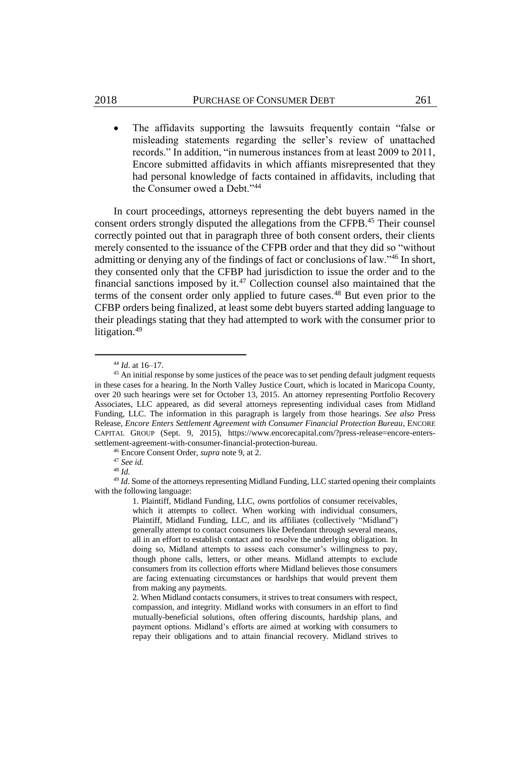The affidavits supporting the lawsuits frequently contain "false or misleading statements regarding the seller's review of unattached records." In addition, "in numerous instances from at least 2009 to 2011, Encore submitted affidavits in which affiants misrepresented that they had personal knowledge of facts contained in affidavits, including that the Consumer owed a Debt."<sup>44</sup>

In court proceedings, attorneys representing the debt buyers named in the consent orders strongly disputed the allegations from the CFPB.<sup>45</sup> Their counsel correctly pointed out that in paragraph three of both consent orders, their clients merely consented to the issuance of the CFPB order and that they did so "without admitting or denying any of the findings of fact or conclusions of law."<sup>46</sup> In short, they consented only that the CFBP had jurisdiction to issue the order and to the financial sanctions imposed by it.<sup>47</sup> Collection counsel also maintained that the terms of the consent order only applied to future cases.<sup>48</sup> But even prior to the CFBP orders being finalized, at least some debt buyers started adding language to their pleadings stating that they had attempted to work with the consumer prior to litigation.<sup>49</sup>

<sup>44</sup> *Id*. at 16–17.

 $45$  An initial response by some justices of the peace was to set pending default judgment requests in these cases for a hearing. In the North Valley Justice Court, which is located in Maricopa County, over 20 such hearings were set for October 13, 2015. An attorney representing Portfolio Recovery Associates, LLC appeared, as did several attorneys representing individual cases from Midland Funding, LLC. The information in this paragraph is largely from those hearings. *See also* Press Release, *Encore Enters Settlement Agreement with Consumer Financial Protection Bureau*, ENCORE CAPITAL GROUP (Sept. 9, 2015), https://www.encorecapital.com/?press-release=encore-enterssettlement-agreement-with-consumer-financial-protection-bureau.

<sup>46</sup> Encore Consent Order, *supra* not[e 9,](#page-2-1) at 2.

<sup>47</sup> *See id.*

<sup>48</sup> *Id.*

<sup>49</sup> *Id.* Some of the attorneys representing Midland Funding, LLC started opening their complaints with the following language:

<sup>1.</sup> Plaintiff, Midland Funding, LLC, owns portfolios of consumer receivables, which it attempts to collect. When working with individual consumers, Plaintiff, Midland Funding, LLC, and its affiliates (collectively "Midland") generally attempt to contact consumers like Defendant through several means, all in an effort to establish contact and to resolve the underlying obligation. In doing so, Midland attempts to assess each consumer's willingness to pay, though phone calls, letters, or other means. Midland attempts to exclude consumers from its collection efforts where Midland believes those consumers are facing extenuating circumstances or hardships that would prevent them from making any payments.

<sup>2.</sup> When Midland contacts consumers, it strives to treat consumers with respect, compassion, and integrity. Midland works with consumers in an effort to find mutually-beneficial solutions, often offering discounts, hardship plans, and payment options. Midland's efforts are aimed at working with consumers to repay their obligations and to attain financial recovery. Midland strives to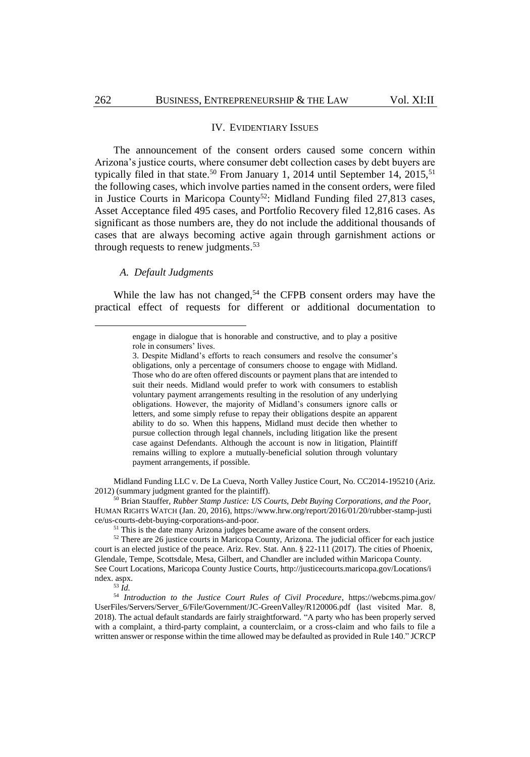#### IV. EVIDENTIARY ISSUES

The announcement of the consent orders caused some concern within Arizona's justice courts, where consumer debt collection cases by debt buyers are typically filed in that state.<sup>50</sup> From January 1, 2014 until September 14, 2015,<sup>51</sup> the following cases, which involve parties named in the consent orders, were filed in Justice Courts in Maricopa County<sup>52</sup>: Midland Funding filed 27,813 cases, Asset Acceptance filed 495 cases, and Portfolio Recovery filed 12,816 cases. As significant as those numbers are, they do not include the additional thousands of cases that are always becoming active again through garnishment actions or through requests to renew judgments.<sup>53</sup>

#### *A. Default Judgments*

While the law has not changed,<sup>54</sup> the CFPB consent orders may have the practical effect of requests for different or additional documentation to

Midland Funding LLC v. De La Cueva, North Valley Justice Court, No. CC2014-195210 (Ariz. 2012) (summary judgment granted for the plaintiff).

<sup>50</sup> Brian Stauffer, *Rubber Stamp Justice: US Courts, Debt Buying Corporations, and the Poor,* HUMAN RIGHTS WATCH (Jan. 20, 2016), https://www.hrw.org/report/2016/01/20/rubber-stamp-justi ce/us-courts-debt-buying-corporations-and-poor.

<sup>51</sup> This is the date many Arizona judges became aware of the consent orders.

<sup>53</sup> *Id.*

<span id="page-8-0"></span>engage in dialogue that is honorable and constructive, and to play a positive role in consumers' lives.

<sup>3.</sup> Despite Midland's efforts to reach consumers and resolve the consumer's obligations, only a percentage of consumers choose to engage with Midland. Those who do are often offered discounts or payment plans that are intended to suit their needs. Midland would prefer to work with consumers to establish voluntary payment arrangements resulting in the resolution of any underlying obligations. However, the majority of Midland's consumers ignore calls or letters, and some simply refuse to repay their obligations despite an apparent ability to do so. When this happens, Midland must decide then whether to pursue collection through legal channels, including litigation like the present case against Defendants. Although the account is now in litigation, Plaintiff remains willing to explore a mutually-beneficial solution through voluntary payment arrangements, if possible.

<sup>&</sup>lt;sup>52</sup> There are 26 justice courts in Maricopa County, Arizona. The judicial officer for each justice court is an elected justice of the peace. Ariz. Rev. Stat. Ann. § 22-111 (2017). The cities of Phoenix, Glendale, Tempe, Scottsdale, Mesa, Gilbert, and Chandler are included within Maricopa County. See Court Locations, Maricopa County Justice Courts, http://justicecourts.maricopa.gov/Locations/i ndex. aspx.

<sup>54</sup> *Introduction to the Justice Court Rules of Civil Procedure*, https://webcms.pima.gov/ UserFiles/Servers/Server\_6/File/Government/JC-GreenValley/R120006.pdf (last visited Mar. 8, 2018). The actual default standards are fairly straightforward. "A party who has been properly served with a complaint, a third-party complaint, a counterclaim, or a cross-claim and who fails to file a written answer or response within the time allowed may be defaulted as provided i[n Rule 140."](https://a.next.westlaw.com/Link/Document/FullText?findType=L&pubNum=1093984&cite=AZSTJCRCPRR140&originatingDoc=N2A7DB0B00DDD11E2A626EF9DD6EFA1DD&refType=LQ&originationContext=document&transitionType=DocumentItem&contextData=(sc.Category)) JCRCP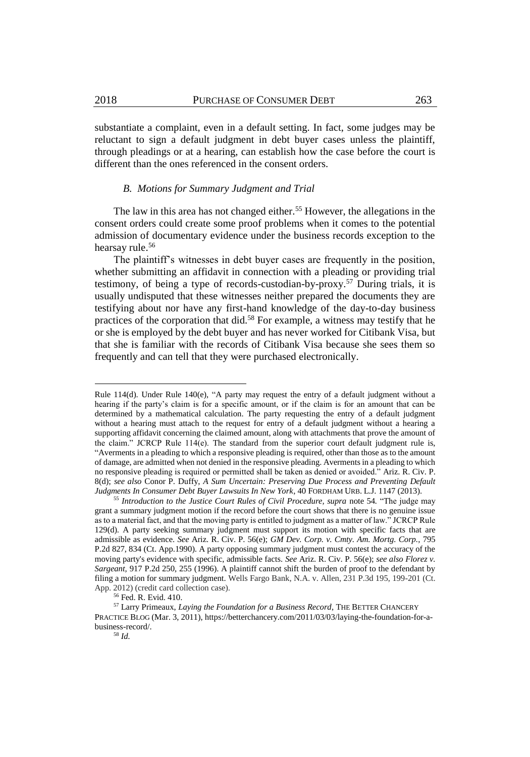substantiate a complaint, even in a default setting. In fact, some judges may be reluctant to sign a default judgment in debt buyer cases unless the plaintiff, through pleadings or at a hearing, can establish how the case before the court is different than the ones referenced in the consent orders.

#### *B. Motions for Summary Judgment and Trial*

The law in this area has not changed either.<sup>55</sup> However, the allegations in the consent orders could create some proof problems when it comes to the potential admission of documentary evidence under the business records exception to the hearsay rule. 56

The plaintiff's witnesses in debt buyer cases are frequently in the position, whether submitting an affidavit in connection with a pleading or providing trial testimony, of being a type of records-custodian-by-proxy.<sup>57</sup> During trials, it is usually undisputed that these witnesses neither prepared the documents they are testifying about nor have any first-hand knowledge of the day-to-day business practices of the corporation that did.<sup>58</sup> For example, a witness may testify that he or she is employed by the debt buyer and has never worked for Citibank Visa, but that she is familiar with the records of Citibank Visa because she sees them so frequently and can tell that they were purchased electronically.

 $\overline{a}$ 

Rule 114(d). Under Rule 140(e), "A party may request the entry of a default judgment without a hearing if the party's claim is for a specific amount, or if the claim is for an amount that can be determined by a mathematical calculation. The party requesting the entry of a default judgment without a hearing must attach to the request for entry of a default judgment without a hearing a supporting affidavit concerning the claimed amount, along with attachments that prove the amount of the claim." JCRCP Rule 114(e). The standard from the superior court default judgment rule is, "Averments in a pleading to which a responsive pleading is required, other than those as to the amount of damage, are admitted when not denied in the responsive pleading. Averments in a pleading to which no responsive pleading is required or permitted shall be taken as denied or avoided." Ariz. R. Civ. P. 8(d); *see also* Conor P. Duffy, *A Sum Uncertain: Preserving Due Process and Preventing Default Judgments In Consumer Debt Buyer Lawsuits In New York*, 40 FORDHAM URB. L.J. 1147 (2013).

<sup>55</sup> *Introduction to the Justice Court Rules of Civil Procedure, supra* not[e 54](#page-8-0)*.* "The judge may grant a summary judgment motion if the record before the court shows that there is no genuine issue as to a material fact, and that the moving party is entitled to judgment as a matter of law." JCRCP Rule 129(d). A party seeking summary judgment must support its motion with specific facts that are admissible as evidence. *See* Ariz. R. Civ. P. 56(e); *GM Dev. Corp. v. Cmty. Am. Mortg. Corp.,* 795 P.2d 827, 834 (Ct. App.1990). A party opposing summary judgment must contest the accuracy of the moving party's evidence with specific, admissible facts. *See* Ariz. R. Civ. P. 56(e); *see also Florez v. Sargeant,* 917 P.2d 250, 255 (1996). A plaintiff cannot shift the burden of proof to the defendant by filing a motion for summary judgment. Wells Fargo Bank, N.A. v. Allen, 231 P.3d 195, 199-201 (Ct. App. 2012) (credit card collection case).

<sup>56</sup> Fed. R. Evid. 410.

<sup>57</sup> Larry Primeaux, *Laying the Foundation for a Business Record*, THE BETTER CHANCERY PRACTICE BLOG (Mar. 3, 2011), https://betterchancery.com/2011/03/03/laying-the-foundation-for-abusiness-record/.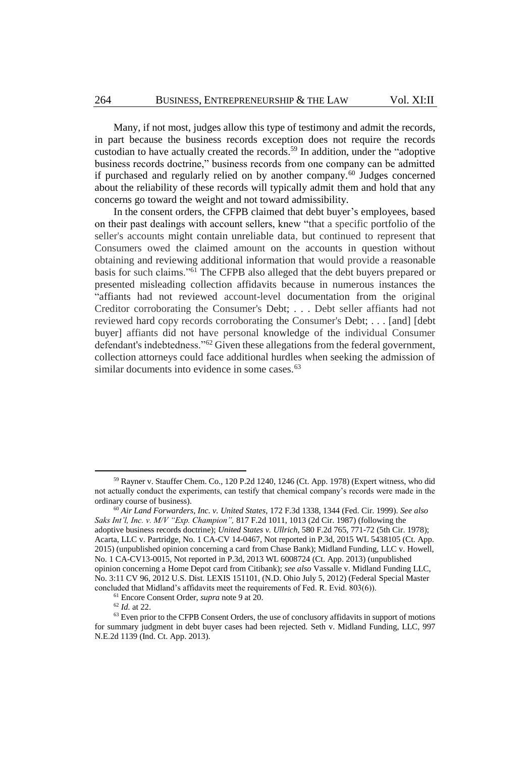Many, if not most, judges allow this type of testimony and admit the records, in part because the business records exception does not require the records custodian to have actually created the records.<sup>59</sup> In addition, under the "adoptive business records doctrine," business records from one company can be admitted if purchased and regularly relied on by another company.<sup>60</sup> Judges concerned about the reliability of these records will typically admit them and hold that any concerns go toward the weight and not toward admissibility.

In the consent orders, the CFPB claimed that debt buyer's employees, based on their past dealings with account sellers, knew "that a specific portfolio of the seller's accounts might contain unreliable data, but continued to represent that Consumers owed the claimed amount on the accounts in question without obtaining and reviewing additional information that would provide a reasonable basis for such claims."<sup>61</sup> The CFPB also alleged that the debt buyers prepared or presented misleading collection affidavits because in numerous instances the "affiants had not reviewed account-level documentation from the original Creditor corroborating the Consumer's Debt; . . . Debt seller affiants had not reviewed hard copy records corroborating the Consumer's Debt; . . . [and] [debt buyer] affiants did not have personal knowledge of the individual Consumer defendant's indebtedness."<sup>62</sup> Given these allegations from the federal government, collection attorneys could face additional hurdles when seeking the admission of similar documents into evidence in some cases.<sup>63</sup>

<sup>61</sup> Encore Consent Order, *supra* not[e 9](#page-2-1) at 20.

<sup>59</sup> Rayner v. Stauffer Chem. Co., 120 P.2d 1240, 1246 (Ct. App. 1978) (Expert witness, who did not actually conduct the experiments, can testify that chemical company's records were made in the ordinary course of business).

<sup>60</sup> *Air Land Forwarders, Inc. v. United States,* 172 F.3d 1338, 1344 (Fed. Cir. 1999). *See also Saks Int'l, Inc. v. M/V "Exp. Champion",* 817 F.2d 1011, 1013 (2d Cir. 1987) (following the adoptive business records doctrine); *United States v. Ullrich,* 580 F.2d 765, 771-72 (5th Cir. 1978); Acarta, LLC v. Partridge, No. 1 CA-CV 14-0467, Not reported in P.3d, 2015 WL 5438105 (Ct. App. 2015) (unpublished opinion concerning a card from Chase Bank); Midland Funding, LLC v. Howell, No. 1 CA-CV13-0015, Not reported in P.3d, 2013 WL 6008724 (Ct. App. 2013) (unpublished opinion concerning a Home Depot card from Citibank); *see also* Vassalle v. Midland Funding LLC, No. 3:11 CV 96, 2012 U.S. Dist. LEXIS 151101, (N.D. Ohio July 5, 2012) (Federal Special Master concluded that Midland's affidavits meet the requirements of Fed. R. Evid. 803(6)).

<sup>62</sup> *Id.* at 22.

<sup>&</sup>lt;sup>63</sup> Even prior to the CFPB Consent Orders, the use of conclusory affidavits in support of motions for summary judgment in debt buyer cases had been rejected. Seth v. Midland Funding, LLC, 997 N.E.2d 1139 (Ind. Ct. App. 2013).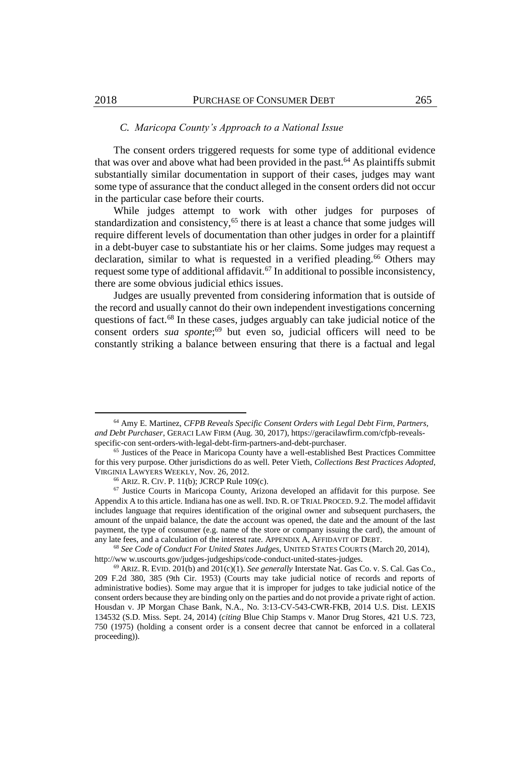#### *C. Maricopa County's Approach to a National Issue*

The consent orders triggered requests for some type of additional evidence that was over and above what had been provided in the past.<sup>64</sup> As plaintiffs submit substantially similar documentation in support of their cases, judges may want some type of assurance that the conduct alleged in the consent orders did not occur in the particular case before their courts.

While judges attempt to work with other judges for purposes of standardization and consistency,<sup>65</sup> there is at least a chance that some judges will require different levels of documentation than other judges in order for a plaintiff in a debt-buyer case to substantiate his or her claims. Some judges may request a declaration, similar to what is requested in a verified pleading.<sup>66</sup> Others may request some type of additional affidavit.<sup>67</sup> In additional to possible inconsistency, there are some obvious judicial ethics issues.

Judges are usually prevented from considering information that is outside of the record and usually cannot do their own independent investigations concerning questions of fact.<sup>68</sup> In these cases, judges arguably can take judicial notice of the consent orders *sua sponte*; <sup>69</sup> but even so, judicial officers will need to be constantly striking a balance between ensuring that there is a factual and legal

<sup>64</sup> Amy E. Martinez, *CFPB Reveals Specific Consent Orders with Legal Debt Firm, Partners, and Debt Purchaser*, GERACI LAW FIRM (Aug. 30, 2017), https://geracilawfirm.com/cfpb-revealsspecific-con sent-orders-with-legal-debt-firm-partners-and-debt-purchaser.

<sup>65</sup> Justices of the Peace in Maricopa County have a well-established Best Practices Committee for this very purpose. Other jurisdictions do as well. Peter Vieth, *Collections Best Practices Adopted*, VIRGINIA LAWYERS WEEKLY, Nov. 26, 2012.

<sup>66</sup> ARIZ. R. CIV. P. 11(b); JCRCP Rule 109(c).

<sup>67</sup> Justice Courts in Maricopa County, Arizona developed an affidavit for this purpose. See Appendix A to this article. Indiana has one as well. IND. R. OF TRIAL PROCED. 9.2. The model affidavit includes language that requires identification of the original owner and subsequent purchasers, the amount of the unpaid balance, the date the account was opened, the date and the amount of the last payment, the type of consumer (e.g. name of the store or company issuing the card), the amount of any late fees, and a calculation of the interest rate. APPENDIX A, AFFIDAVIT OF DEBT.

<sup>68</sup> *See Code of Conduct For United States Judges,* UNITED STATES COURTS (March 20, 2014), http://ww w.uscourts.gov/judges-judgeships/code-conduct-united-states-judges.

<sup>69</sup> ARIZ. R. EVID. 201(b) and 201(c)(1). *See generally* Interstate Nat. Gas Co. v. S. Cal. Gas Co., 209 F.2d 380, 385 (9th Cir. 1953) (Courts may take judicial notice of records and reports of administrative bodies). Some may argue that it is improper for judges to take judicial notice of the consent orders because they are binding only on the parties and do not provide a private right of action. Housdan v. JP Morgan Chase Bank, N.A., No. 3:13-CV-543-CWR-FKB, 2014 U.S. Dist. LEXIS 134532 (S.D. Miss. Sept. 24, 2014) (*citing* Blue Chip Stamps v. Manor Drug Stores, 421 U.S. 723, 750 (1975) (holding a consent order is a consent decree that cannot be enforced in a collateral proceeding)).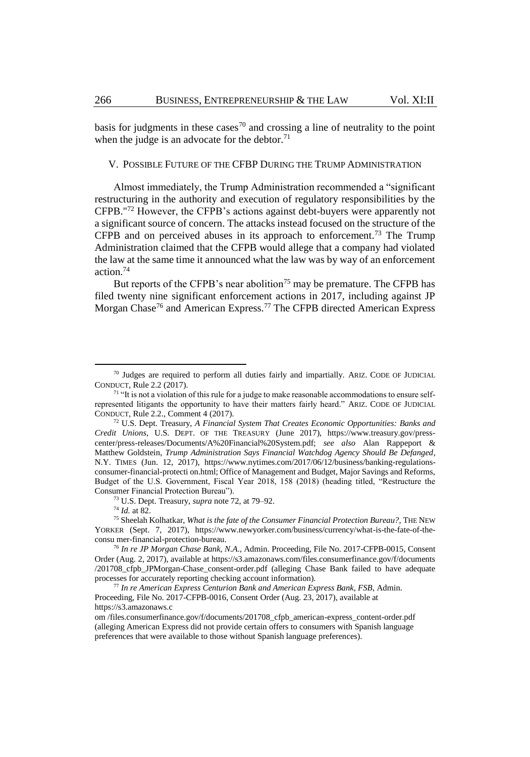basis for judgments in these cases<sup>70</sup> and crossing a line of neutrality to the point when the judge is an advocate for the debtor. $71$ 

#### V. POSSIBLE FUTURE OF THE CFBP DURING THE TRUMP ADMINISTRATION

<span id="page-12-0"></span>Almost immediately, the Trump Administration recommended a "significant restructuring in the authority and execution of regulatory responsibilities by the CFPB."<sup>72</sup> However, the CFPB's actions against debt-buyers were apparently not a significant source of concern. The attacks instead focused on the structure of the CFPB and on perceived abuses in its approach to enforcement.<sup>73</sup> The Trump Administration claimed that the CFPB would allege that a company had violated the law at the same time it announced what the law was by way of an enforcement action.<sup>74</sup>

But reports of the CFPB's near abolition<sup>75</sup> may be premature. The CFPB has filed twenty nine significant enforcement actions in 2017, including against JP Morgan Chase<sup>76</sup> and American Express.<sup>77</sup> The CFPB directed American Express

<sup>73</sup> U.S. Dept. Treasury, *supra* not[e 72,](#page-12-0) at 79–92.

<sup>74</sup> *Id.* at 82.

 $\overline{a}$ 

 $70$  Judges are required to perform all duties fairly and impartially. ARIZ. CODE OF JUDICIAL CONDUCT, Rule 2.2 (2017).

<sup>&</sup>lt;sup>71</sup> "It is not a violation of this rule for a judge to make reasonable accommodations to ensure selfrepresented litigants the opportunity to have their matters fairly heard." ARIZ. CODE OF JUDICIAL CONDUCT, Rule 2.2., Comment 4 (2017).

<sup>72</sup> U.S. Dept. Treasury, *A Financial System That Creates Economic Opportunities: Banks and Credit Unions*, U.S. DEPT. OF THE TREASURY (June 2017), https://www.treasury.gov/presscenter/press-releases/Documents/A%20Financial%20System.pdf; *see also* Alan Rappeport & Matthew Goldstein, *Trump Administration Says Financial Watchdog Agency Should Be Defanged*, N.Y. TIMES (Jun. 12, 2017), https://www.nytimes.com/2017/06/12/business/banking-regulationsconsumer-financial-protecti on.html; Office of Management and Budget, Major Savings and Reforms, Budget of the U.S. Government, Fiscal Year 2018, 158 (2018) (heading titled, "Restructure the Consumer Financial Protection Bureau").

<sup>75</sup> Sheelah Kolhatkar, *What is the fate of the Consumer Financial Protection Bureau?*, THE NEW YORKER (Sept. 7, 2017), https://www.newyorker.com/business/currency/what-is-the-fate-of-theconsu mer-financial-protection-bureau.

<sup>76</sup> *In re JP Morgan Chase Bank, N.A*., Admin. Proceeding, File No. 2017-CFPB-0015, Consent Order (Aug. 2, 2017), available at https://s3.amazonaws.com/files.consumerfinance.gov/f/documents /201708\_cfpb\_JPMorgan-Chase\_consent-order.pdf (alleging Chase Bank failed to have adequate processes for accurately reporting checking account information).

<sup>77</sup> *In re American Express Centurion Bank and American Express Bank, FSB*, Admin. Proceeding, File No. 2017-CFPB-0016, Consent Order (Aug. 23, 2017), available at https://s3.amazonaws.c

om /files.consumerfinance.gov/f/documents/201708\_cfpb\_american-express\_content-order.pdf (alleging American Express did not provide certain offers to consumers with Spanish language preferences that were available to those without Spanish language preferences).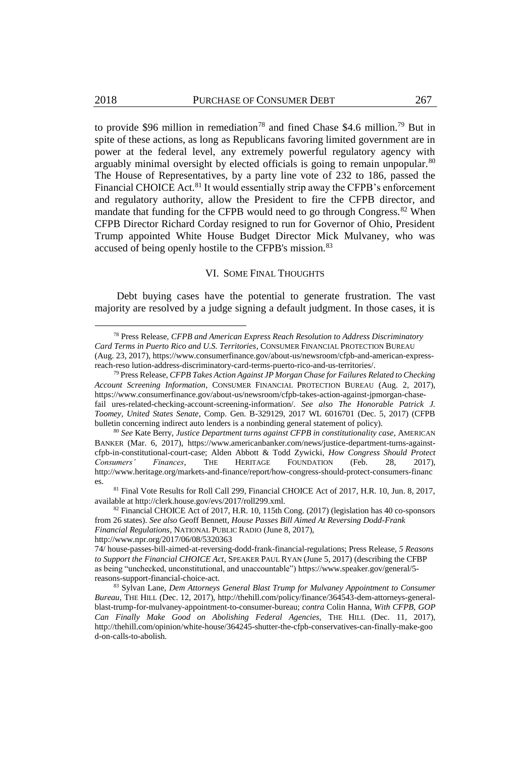to provide \$96 million in remediation<sup>78</sup> and fined Chase \$4.6 million.<sup>79</sup> But in spite of these actions, as long as Republicans favoring limited government are in power at the federal level, any extremely powerful regulatory agency with arguably minimal oversight by elected officials is going to remain unpopular.<sup>80</sup> The House of Representatives, by a party line vote of 232 to 186, passed the Financial CHOICE Act.<sup>81</sup> It would essentially strip away the CFPB's enforcement and regulatory authority, allow the President to fire the CFPB director, and mandate that funding for the CFPB would need to go through Congress.<sup>82</sup> When CFPB Director Richard Corday resigned to run for Governor of Ohio, President Trump appointed White House Budget Director Mick Mulvaney, who was accused of being openly hostile to the CFPB's mission.<sup>83</sup>

#### VI. SOME FINAL THOUGHTS

Debt buying cases have the potential to generate frustration. The vast majority are resolved by a judge signing a default judgment. In those cases, it is

<sup>82</sup> Financial CHOICE Act of 2017, H.R. 10, 115th Cong. (2017) (legislation has 40 co-sponsors from 26 states). *See also* Geoff Bennett, *House Passes Bill Aimed At Reversing Dodd-Frank Financial Regulations*, NATIONAL PUBLIC RADIO (June 8, 2017),

http://www.npr.org/2017/06/08/5320363

<sup>78</sup> Press Release, *CFPB and American Express Reach Resolution to Address Discriminatory Card Terms in Puerto Rico and U.S. Territories*, CONSUMER FINANCIAL PROTECTION BUREAU (Aug. 23, 2017), https://www.consumerfinance.gov/about-us/newsroom/cfpb-and-american-expressreach-reso lution-address-discriminatory-card-terms-puerto-rico-and-us-territories/.

<sup>79</sup> Press Release, *CFPB Takes Action Against JP Morgan Chase for Failures Related to Checking Account Screening Information*, CONSUMER FINANCIAL PROTECTION BUREAU (Aug. 2, 2017), https://www.consumerfinance.gov/about-us/newsroom/cfpb-takes-action-against-jpmorgan-chasefail ures-related-checking-account-screening-information/. *See also The Honorable Patrick J. Toomey, United States Senate*, Comp. Gen. B-329129, 2017 WL 6016701 (Dec. 5, 2017) (CFPB bulletin concerning indirect auto lenders is a nonbinding general statement of policy).

<sup>80</sup> *See* Kate Berry, *Justice Department turns against CFPB in constitutionality case*, AMERICAN BANKER (Mar. 6, 2017), https://www.americanbanker.com/news/justice-department-turns-againstcfpb-in-constitutional-court-case; Alden Abbott & Todd Zywicki, *How Congress Should Protect Consumers' Finances*, THE HERITAGE FOUNDATION (Feb. 28, 2017), http://www.heritage.org/markets-and-finance/report/how-congress-should-protect-consumers-financ es.

<sup>81</sup> Final Vote Results for Roll Call 299, Financial CHOICE Act of 2017, H.R. 10, Jun. 8, 2017, available at http://clerk.house.gov/evs/2017/roll299.xml.

<sup>74/</sup> house-passes-bill-aimed-at-reversing-dodd-frank-financial-regulations; Press Release, *5 Reasons to Support the Financial CHOICE Act*, SPEAKER PAUL RYAN (June 5, 2017) (describing the CFBP as being "unchecked, unconstitutional, and unaccountable") https://www.speaker.gov/general/5 reasons-support-financial-choice-act.

<sup>83</sup> Sylvan Lane, *Dem Attorneys General Blast Trump for Mulvaney Appointment to Consumer Bureau*, THE HILL (Dec. 12, 2017), http://thehill.com/policy/finance/364543-dem-attorneys-generalblast-trump-for-mulvaney-appointment-to-consumer-bureau; *contra* Colin Hanna, *With CFPB, GOP Can Finally Make Good on Abolishing Federal Agencies,* THE HILL (Dec. 11, 2017), http://thehill.com/opinion/white-house/364245-shutter-the-cfpb-conservatives-can-finally-make-goo d-on-calls-to-abolish.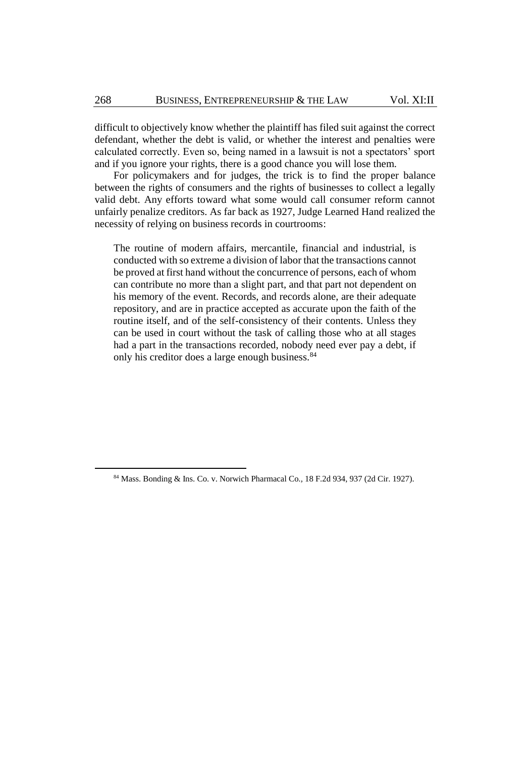difficult to objectively know whether the plaintiff has filed suit against the correct defendant, whether the debt is valid, or whether the interest and penalties were calculated correctly. Even so, being named in a lawsuit is not a spectators' sport and if you ignore your rights, there is a good chance you will lose them.

For policymakers and for judges, the trick is to find the proper balance between the rights of consumers and the rights of businesses to collect a legally valid debt. Any efforts toward what some would call consumer reform cannot unfairly penalize creditors. As far back as 1927, Judge Learned Hand realized the necessity of relying on business records in courtrooms:

The routine of modern affairs, mercantile, financial and industrial, is conducted with so extreme a division of labor that the transactions cannot be proved at first hand without the concurrence of persons, each of whom can contribute no more than a slight part, and that part not dependent on his memory of the event. Records, and records alone, are their adequate repository, and are in practice accepted as accurate upon the faith of the routine itself, and of the self-consistency of their contents. Unless they can be used in court without the task of calling those who at all stages had a part in the transactions recorded, nobody need ever pay a debt, if only his creditor does a large enough business.<sup>84</sup>

<sup>84</sup> Mass. Bonding & Ins. Co. v. Norwich Pharmacal Co*.,* 18 F.2d 934, 937 (2d Cir. 1927).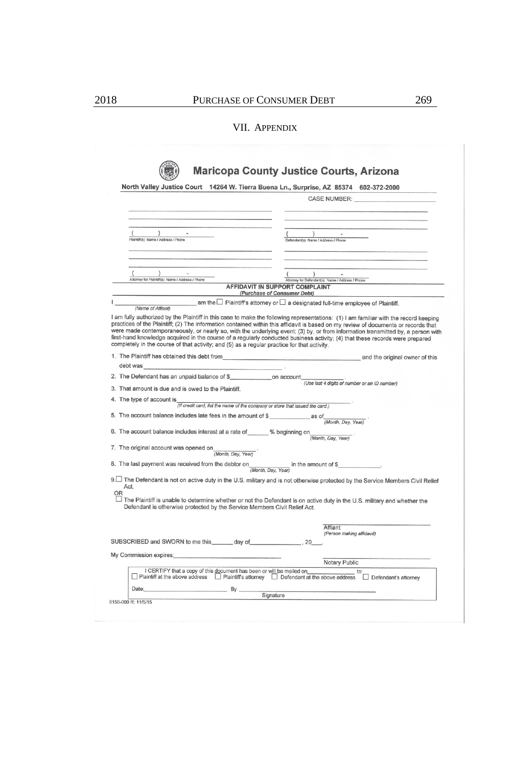#### VII. APPENDIX

|                                                                                                                                                                                                                                                                                                                                                                                                   | North Valley Justice Court 14264 W. Tierra Buena Ln., Surprise, AZ 85374 602-372-2000                                                                                                                                                                           |
|---------------------------------------------------------------------------------------------------------------------------------------------------------------------------------------------------------------------------------------------------------------------------------------------------------------------------------------------------------------------------------------------------|-----------------------------------------------------------------------------------------------------------------------------------------------------------------------------------------------------------------------------------------------------------------|
|                                                                                                                                                                                                                                                                                                                                                                                                   | CASE NUMBER: And the state of the state of the state of the state of the state of the state of the state of the state of the state of the state of the state of the state of the state of the state of the state of the state                                   |
|                                                                                                                                                                                                                                                                                                                                                                                                   |                                                                                                                                                                                                                                                                 |
|                                                                                                                                                                                                                                                                                                                                                                                                   |                                                                                                                                                                                                                                                                 |
| $\overline{\phantom{a}}$<br>Plaintiff(s) Name / Address / Phone                                                                                                                                                                                                                                                                                                                                   | $\sqrt{2}$<br>Defendant(s) Name / Address / Phone                                                                                                                                                                                                               |
|                                                                                                                                                                                                                                                                                                                                                                                                   |                                                                                                                                                                                                                                                                 |
| $\lambda$<br>Attorney for Plaintiff(s) Name / Address / Phone                                                                                                                                                                                                                                                                                                                                     | $\left( \right)$<br>Attorney for Defendant(s) Name / Address / Phone                                                                                                                                                                                            |
|                                                                                                                                                                                                                                                                                                                                                                                                   | AFFIDAVIT IN SUPPORT COMPLAINT                                                                                                                                                                                                                                  |
|                                                                                                                                                                                                                                                                                                                                                                                                   | (Purchase of Consumer Debt)                                                                                                                                                                                                                                     |
| (Name of Affiant)                                                                                                                                                                                                                                                                                                                                                                                 | am the $\square$ Plaintiff's attorney or $\square$ a designated full-time employee of Plaintiff.                                                                                                                                                                |
| completely in the course of that activity; and (5) as a regular practice for that activity.<br>1. The Plaintiff has obtained this debt from                                                                                                                                                                                                                                                       | were made contemporaneously, or nearly so, with the underlying event; (3) by, or from information transmitted by, a person with<br>first-hand knowledge acquired in the course of a regularly conducted business activity; (4) that these records were prepared |
| debt was                                                                                                                                                                                                                                                                                                                                                                                          | and the original owner of this                                                                                                                                                                                                                                  |
| 2. The Defendant has an unpaid balance of \$ on account                                                                                                                                                                                                                                                                                                                                           |                                                                                                                                                                                                                                                                 |
| 3. That amount is due and is owed to the Plaintiff.                                                                                                                                                                                                                                                                                                                                               | (Use last 4 digits of number or an ID number)                                                                                                                                                                                                                   |
| 4. The type of account is                                                                                                                                                                                                                                                                                                                                                                         |                                                                                                                                                                                                                                                                 |
|                                                                                                                                                                                                                                                                                                                                                                                                   |                                                                                                                                                                                                                                                                 |
|                                                                                                                                                                                                                                                                                                                                                                                                   | (If credit card, list the name of the company or store that issued the card.)                                                                                                                                                                                   |
|                                                                                                                                                                                                                                                                                                                                                                                                   | (Month, Day, Year)                                                                                                                                                                                                                                              |
|                                                                                                                                                                                                                                                                                                                                                                                                   |                                                                                                                                                                                                                                                                 |
|                                                                                                                                                                                                                                                                                                                                                                                                   | (Month, Day, Year)                                                                                                                                                                                                                                              |
| (Month, Day, Year)                                                                                                                                                                                                                                                                                                                                                                                |                                                                                                                                                                                                                                                                 |
|                                                                                                                                                                                                                                                                                                                                                                                                   | in the amount of \$                                                                                                                                                                                                                                             |
|                                                                                                                                                                                                                                                                                                                                                                                                   | (Month, Day, Year)                                                                                                                                                                                                                                              |
| Act.                                                                                                                                                                                                                                                                                                                                                                                              | 9. The Defendant is not on active duty in the U.S. military and is not otherwise protected by the Service Members Civil Relief                                                                                                                                  |
| Defendant is otherwise protected by the Service Members Civil Relief Act.                                                                                                                                                                                                                                                                                                                         | The Plaintiff is unable to determine whether or not the Defendant is on active duty in the U.S. military and whether the                                                                                                                                        |
|                                                                                                                                                                                                                                                                                                                                                                                                   |                                                                                                                                                                                                                                                                 |
|                                                                                                                                                                                                                                                                                                                                                                                                   | Affiant<br>(Person making affidavit)                                                                                                                                                                                                                            |
|                                                                                                                                                                                                                                                                                                                                                                                                   |                                                                                                                                                                                                                                                                 |
|                                                                                                                                                                                                                                                                                                                                                                                                   |                                                                                                                                                                                                                                                                 |
|                                                                                                                                                                                                                                                                                                                                                                                                   | Notary Public                                                                                                                                                                                                                                                   |
| 5. The account balance includes late fees in the amount of \$<br>6. The account balance includes interest at a rate of % beginning on<br>7. The original account was opened on<br>8. The last payment was received from the debtor on<br><b>OR</b><br>SUBSCRIBED and SWORN to me this day of 20<br>My Commission expires:<br>I CERTIFY that a copy of this document has been or will be mailed on | □ Plaintiff at the above address □ Plaintiff's attorney □ Defendant at the above address □ Defendant's attorney                                                                                                                                                 |